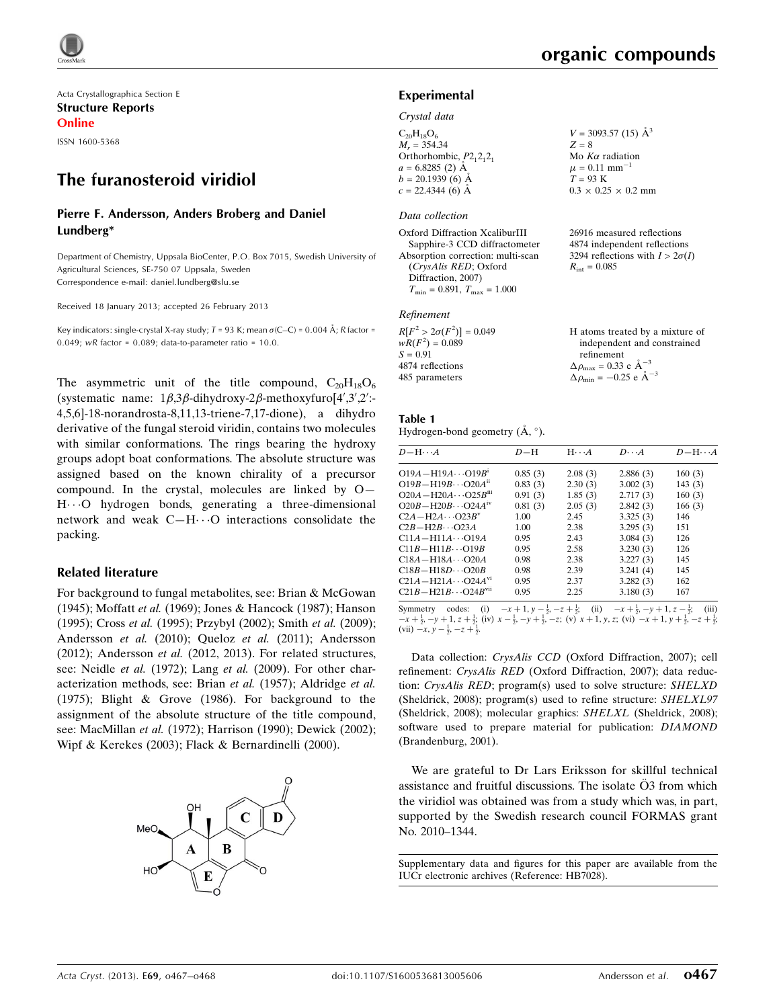

Acta Crystallographica Section E Structure Reports Online ISSN 1600-5368

# The furanosteroid viridiol

#### Pierre F. Andersson, Anders Broberg and Daniel Lundberg\*

Department of Chemistry, Uppsala BioCenter, P.O. Box 7015, Swedish University of Agricultural Sciences, SE-750 07 Uppsala, Sweden Correspondence e-mail: [daniel.lundberg@slu.se](https://scripts.iucr.org/cgi-bin/cr.cgi?rm=pdfbb&cnor=hb7028&bbid=BB25)

Received 18 January 2013; accepted 26 February 2013

Key indicators: single-crystal X-ray study; T = 93 K; mean  $\sigma$ (C–C) = 0.004 Å; R factor = 0.049; wR factor =  $0.089$ ; data-to-parameter ratio =  $10.0$ .

The asymmetric unit of the title compound,  $C_{20}H_{18}O_6$ (systematic name:  $1\beta, 3\beta$ -dihydroxy-2 $\beta$ -methoxyfuro[4',3',2':-4,5,6]-18-norandrosta-8,11,13-triene-7,17-dione), a dihydro derivative of the fungal steroid viridin, contains two molecules with similar conformations. The rings bearing the hydroxy groups adopt boat conformations. The absolute structure was assigned based on the known chirality of a precursor compound. In the crystal, molecules are linked by O— H---O hydrogen bonds, generating a three-dimensional network and weak  $C-H\cdots O$  interactions consolidate the packing.

#### Related literature

For background to fungal metabolites, see: Brian & McGowan (1945); Moffatt et al. (1969); Jones & Hancock (1987); Hanson (1995); Cross et al. (1995); Przybyl (2002); Smith et al. (2009); Andersson et al. (2010); Queloz et al. (2011); Andersson (2012); Andersson et al. (2012, 2013). For related structures, see: Neidle et al. (1972); Lang et al. (2009). For other characterization methods, see: Brian et al. (1957); Aldridge et al. (1975); Blight & Grove (1986). For background to the assignment of the absolute structure of the title compound, see: MacMillan et al. (1972); Harrison (1990); Dewick (2002); Wipf & Kerekes (2003); Flack & Bernardinelli (2000).



 $V = 3093.57(15)$   $\AA^3$ 

 $0.3 \times 0.25 \times 0.2$  mm

26916 measured reflections 4874 independent reflections 3294 reflections with  $I > 2\sigma(I)$ 

H atoms treated by a mixture of independent and constrained

Mo  $K\alpha$  radiation  $\mu = 0.11$  mm<sup>-1</sup>  $T = 93$  K

 $R_{\text{int}} = 0.085$ 

refinement  $\Delta \rho_{\text{max}} = 0.33 \text{ e A}^{-3}$  $\Delta \rho_{\rm min} = -0.25 \text{ e } \text{\AA}^{-3}$ 

 $Z = 8$ 

#### Experimental

#### Crystal data

 $C_{20}H_{18}O_6$  $M_r = 354.34$ Orthorhombic,  $P2_12_12_1$  $a = 6.8285(2)$  Å  $b = 20.1939(6)$  Å  $c = 22.4344(6)$  Å

#### Data collection

Oxford Diffraction XcaliburIII Sapphire-3 CCD diffractometer Absorption correction: multi-scan (CrysAlis RED; Oxford Diffraction, 2007)  $T_{\text{min}} = 0.891, T_{\text{max}} = 1.000$ 

#### Refinement

 $R[F^2 > 2\sigma(F^2)] = 0.049$  $wR(F^2) = 0.089$  $S = 0.91$ 4874 reflections 485 parameters

Table 1 Hydrogen-bond geometry  $(\mathring{A}, \degree)$ .

| $D - H \cdots A$                       | $D-H$   | $H \cdot \cdot \cdot A$ | $D\cdots A$ | $D - H \cdots A$ |
|----------------------------------------|---------|-------------------------|-------------|------------------|
| $O19A - H19A \cdots O19B$ <sup>1</sup> | 0.85(3) | 2.08(3)                 | 2.886(3)    | 160(3)           |
| $O19B - H19B \cdots O20A^{n}$          | 0.83(3) | 2.30(3)                 | 3.002(3)    | 143(3)           |
| $O20A - H20A \cdots O25B^{m}$          | 0.91(3) | 1.85(3)                 | 2.717(3)    | 160(3)           |
| $O20B - H20B \cdots O24A^{IV}$         | 0.81(3) | 2.05(3)                 | 2.842(3)    | 166(3)           |
| $C2A - H2A \cdots Q23B^v$              | 1.00    | 2.45                    | 3.325(3)    | 146              |
| $C2B - H2B \cdots Q23A$                | 1.00    | 2.38                    | 3.295(3)    | 151              |
| $C11A - H11A \cdots O19A$              | 0.95    | 2.43                    | 3.084(3)    | 126              |
| $C11B - H11B \cdots O19B$              | 0.95    | 2.58                    | 3.230(3)    | 126              |
| $C18A - H18A \cdots Q20A$              | 0.98    | 2.38                    | 3.227(3)    | 145              |
| $C18B - H18D \cdots Q20B$              | 0.98    | 2.39                    | 3.241(4)    | 145              |
| $C21A - H21A \cdots Q24A^{v_1}$        | 0.95    | 2.37                    | 3.282(3)    | 162              |
| $C21B - H21B \cdots Q24B^{vu}$         | 0.95    | 2.25                    | 3.180(3)    | 167              |

Symmetry codes: (i)  $-x+1, y-\frac{1}{2}, -z+\frac{1}{2}$ ; (ii)  $-x+\frac{1}{2}, -y+1, z-\frac{1}{2}$ ; (iii)  $-x+\frac{1}{2}, -y+1, z+\frac{1}{2}$ ; (iii)  $-x+\frac{1}{2}, -z+\frac{1}{2}$ ; (iii)  $x-\frac{1}{2}, -y+\frac{1}{2}, -z+\frac{1}{2}$ ; (iii)  $x+\frac{1}{2}, -z+\frac{1}{2}$ ; (vi)  $x+1, y, z$ ; (vi)  $-x+1$ (vii)  $-x, y - \frac{1}{2}, -z + \frac{1}{2}$ .

Data collection: CrysAlis CCD (Oxford Diffraction, 2007); cell refinement: CrysAlis RED (Oxford Diffraction, 2007); data reduction: CrysAlis RED; program(s) used to solve structure: SHELXD (Sheldrick, 2008); program(s) used to refine structure: SHELXL97 (Sheldrick, 2008); molecular graphics: SHELXL (Sheldrick, 2008); software used to prepare material for publication: DIAMOND (Brandenburg, 2001).

We are grateful to Dr Lars Eriksson for skillful technical assistance and fruitful discussions. The isolate  $\ddot{O}3$  from which the viridiol was obtained was from a study which was, in part, supported by the Swedish research council FORMAS grant No. 2010–1344.

Supplementary data and figures for this paper are available from the IUCr electronic archives (Reference: HB7028).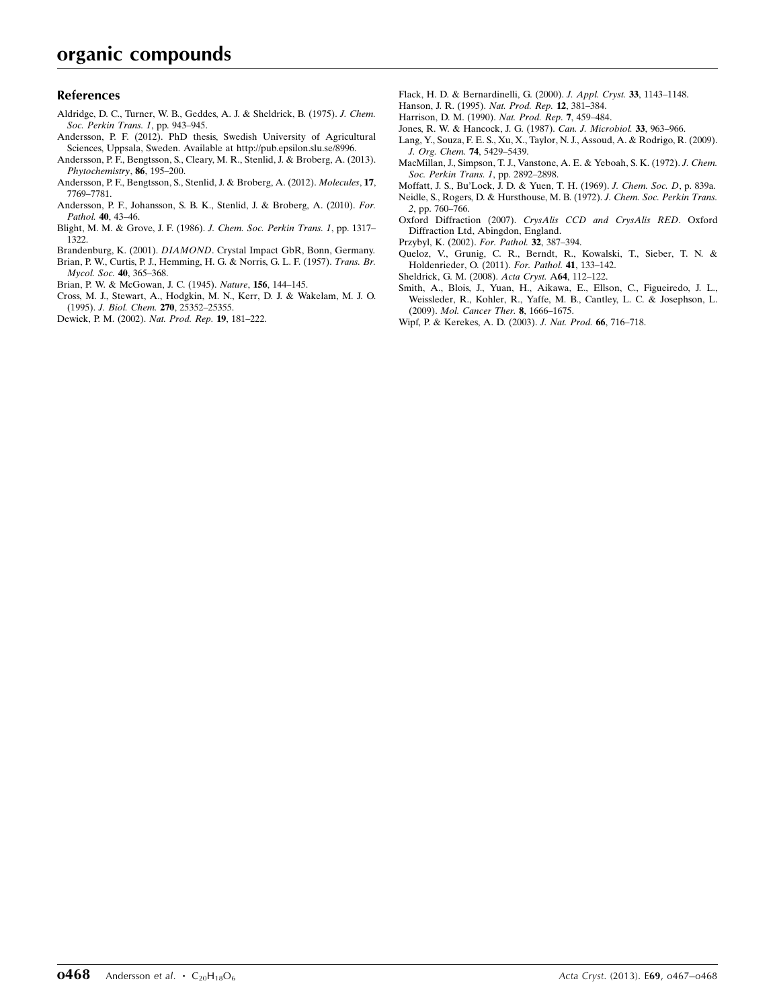#### References

- [Aldridge, D. C., Turner, W. B., Geddes, A. J. & Sheldrick, B. \(1975\).](https://scripts.iucr.org/cgi-bin/cr.cgi?rm=pdfbb&cnor=hb7028&bbid=BB1) J. Chem. [Soc. Perkin Trans. 1](https://scripts.iucr.org/cgi-bin/cr.cgi?rm=pdfbb&cnor=hb7028&bbid=BB1), pp. 943–945.
- [Andersson, P. F. \(2012\). PhD thesis, Swedish University of Agricultural](https://scripts.iucr.org/cgi-bin/cr.cgi?rm=pdfbb&cnor=hb7028&bbid=BB2) [Sciences, Uppsala, Sweden. Available at http://pub.epsilon.slu.se/8996.](https://scripts.iucr.org/cgi-bin/cr.cgi?rm=pdfbb&cnor=hb7028&bbid=BB2)
- [Andersson, P. F., Bengtsson, S., Cleary, M. R., Stenlid, J. & Broberg, A. \(2013\).](https://scripts.iucr.org/cgi-bin/cr.cgi?rm=pdfbb&cnor=hb7028&bbid=BB3) [Phytochemistry](https://scripts.iucr.org/cgi-bin/cr.cgi?rm=pdfbb&cnor=hb7028&bbid=BB3), 86, 195–200.
- [Andersson, P. F., Bengtsson, S., Stenlid, J. & Broberg, A. \(2012\).](https://scripts.iucr.org/cgi-bin/cr.cgi?rm=pdfbb&cnor=hb7028&bbid=BB4) Molecules, 17, [7769–7781.](https://scripts.iucr.org/cgi-bin/cr.cgi?rm=pdfbb&cnor=hb7028&bbid=BB4)
- [Andersson, P. F., Johansson, S. B. K., Stenlid, J. & Broberg, A. \(2010\).](https://scripts.iucr.org/cgi-bin/cr.cgi?rm=pdfbb&cnor=hb7028&bbid=BB5) For. Pathol. 40[, 43–46.](https://scripts.iucr.org/cgi-bin/cr.cgi?rm=pdfbb&cnor=hb7028&bbid=BB5)
- [Blight, M. M. & Grove, J. F. \(1986\).](https://scripts.iucr.org/cgi-bin/cr.cgi?rm=pdfbb&cnor=hb7028&bbid=BB6) J. Chem. Soc. Perkin Trans. 1, pp. 1317– [1322.](https://scripts.iucr.org/cgi-bin/cr.cgi?rm=pdfbb&cnor=hb7028&bbid=BB6)
- Brandenburg, K. (2001). DIAMOND[. Crystal Impact GbR, Bonn, Germany.](https://scripts.iucr.org/cgi-bin/cr.cgi?rm=pdfbb&cnor=hb7028&bbid=BB7) [Brian, P. W., Curtis, P. J., Hemming, H. G. & Norris, G. L. F. \(1957\).](https://scripts.iucr.org/cgi-bin/cr.cgi?rm=pdfbb&cnor=hb7028&bbid=BB8) Trans. Br. [Mycol. Soc.](https://scripts.iucr.org/cgi-bin/cr.cgi?rm=pdfbb&cnor=hb7028&bbid=BB8) 40, 365–368.
- [Brian, P. W. & McGowan, J. C. \(1945\).](https://scripts.iucr.org/cgi-bin/cr.cgi?rm=pdfbb&cnor=hb7028&bbid=BB9) Nature, 156, 144–145.
- [Cross, M. J., Stewart, A., Hodgkin, M. N., Kerr, D. J. & Wakelam, M. J. O.](https://scripts.iucr.org/cgi-bin/cr.cgi?rm=pdfbb&cnor=hb7028&bbid=BB10) (1995). J. Biol. Chem. 270[, 25352–25355.](https://scripts.iucr.org/cgi-bin/cr.cgi?rm=pdfbb&cnor=hb7028&bbid=BB10)
- [Dewick, P. M. \(2002\).](https://scripts.iucr.org/cgi-bin/cr.cgi?rm=pdfbb&cnor=hb7028&bbid=BB11) Nat. Prod. Rep. 19, 181–222.
- [Flack, H. D. & Bernardinelli, G. \(2000\).](https://scripts.iucr.org/cgi-bin/cr.cgi?rm=pdfbb&cnor=hb7028&bbid=BB12) J. Appl. Cryst. 33, 1143–1148.
- [Hanson, J. R. \(1995\).](https://scripts.iucr.org/cgi-bin/cr.cgi?rm=pdfbb&cnor=hb7028&bbid=BB13) Nat. Prod. Rep. 12, 381–384.
- [Harrison, D. M. \(1990\).](https://scripts.iucr.org/cgi-bin/cr.cgi?rm=pdfbb&cnor=hb7028&bbid=BB14) Nat. Prod. Rep. 7, 459–484.
- [Jones, R. W. & Hancock, J. G. \(1987\).](https://scripts.iucr.org/cgi-bin/cr.cgi?rm=pdfbb&cnor=hb7028&bbid=BB15) Can. J. Microbiol. 33, 963–966.
- [Lang, Y., Souza, F. E. S., Xu, X., Taylor, N. J., Assoud, A. & Rodrigo, R. \(2009\).](https://scripts.iucr.org/cgi-bin/cr.cgi?rm=pdfbb&cnor=hb7028&bbid=BB16) [J. Org. Chem.](https://scripts.iucr.org/cgi-bin/cr.cgi?rm=pdfbb&cnor=hb7028&bbid=BB16) 74, 5429–5439.
- [MacMillan, J., Simpson, T. J., Vanstone, A. E. & Yeboah, S. K. \(1972\).](https://scripts.iucr.org/cgi-bin/cr.cgi?rm=pdfbb&cnor=hb7028&bbid=BB17) J. Chem. [Soc. Perkin Trans. 1](https://scripts.iucr.org/cgi-bin/cr.cgi?rm=pdfbb&cnor=hb7028&bbid=BB17), pp. 2892–2898.
- [Moffatt, J. S., Bu'Lock, J. D. & Yuen, T. H. \(1969\).](https://scripts.iucr.org/cgi-bin/cr.cgi?rm=pdfbb&cnor=hb7028&bbid=BB18) J. Chem. Soc. D, p. 839a. [Neidle, S., Rogers, D. & Hursthouse, M. B. \(1972\).](https://scripts.iucr.org/cgi-bin/cr.cgi?rm=pdfbb&cnor=hb7028&bbid=BB19) J. Chem. Soc. Perkin Trans. 2[, pp. 760–766.](https://scripts.iucr.org/cgi-bin/cr.cgi?rm=pdfbb&cnor=hb7028&bbid=BB19)
- Oxford Diffraction (2007). [CrysAlis CCD and CrysAlis RED](https://scripts.iucr.org/cgi-bin/cr.cgi?rm=pdfbb&cnor=hb7028&bbid=BB20). Oxford [Diffraction Ltd, Abingdon, England.](https://scripts.iucr.org/cgi-bin/cr.cgi?rm=pdfbb&cnor=hb7028&bbid=BB20)
- [Przybyl, K. \(2002\).](https://scripts.iucr.org/cgi-bin/cr.cgi?rm=pdfbb&cnor=hb7028&bbid=BB21) For. Pathol. 32, 387–394.
- [Queloz, V., Grunig, C. R., Berndt, R., Kowalski, T., Sieber, T. N. &](https://scripts.iucr.org/cgi-bin/cr.cgi?rm=pdfbb&cnor=hb7028&bbid=BB22) [Holdenrieder, O. \(2011\).](https://scripts.iucr.org/cgi-bin/cr.cgi?rm=pdfbb&cnor=hb7028&bbid=BB22) For. Pathol. 41, 133–142.
- [Sheldrick, G. M. \(2008\).](https://scripts.iucr.org/cgi-bin/cr.cgi?rm=pdfbb&cnor=hb7028&bbid=BB23) Acta Cryst. A64, 112–122.
- [Smith, A., Blois, J., Yuan, H., Aikawa, E., Ellson, C., Figueiredo, J. L.,](https://scripts.iucr.org/cgi-bin/cr.cgi?rm=pdfbb&cnor=hb7028&bbid=BB24) [Weissleder, R., Kohler, R., Yaffe, M. B., Cantley, L. C. & Josephson, L.](https://scripts.iucr.org/cgi-bin/cr.cgi?rm=pdfbb&cnor=hb7028&bbid=BB24) (2009). [Mol. Cancer Ther.](https://scripts.iucr.org/cgi-bin/cr.cgi?rm=pdfbb&cnor=hb7028&bbid=BB24) 8, 1666–1675.
- [Wipf, P. & Kerekes, A. D. \(2003\).](https://scripts.iucr.org/cgi-bin/cr.cgi?rm=pdfbb&cnor=hb7028&bbid=BB25) J. Nat. Prod. 66, 716–718.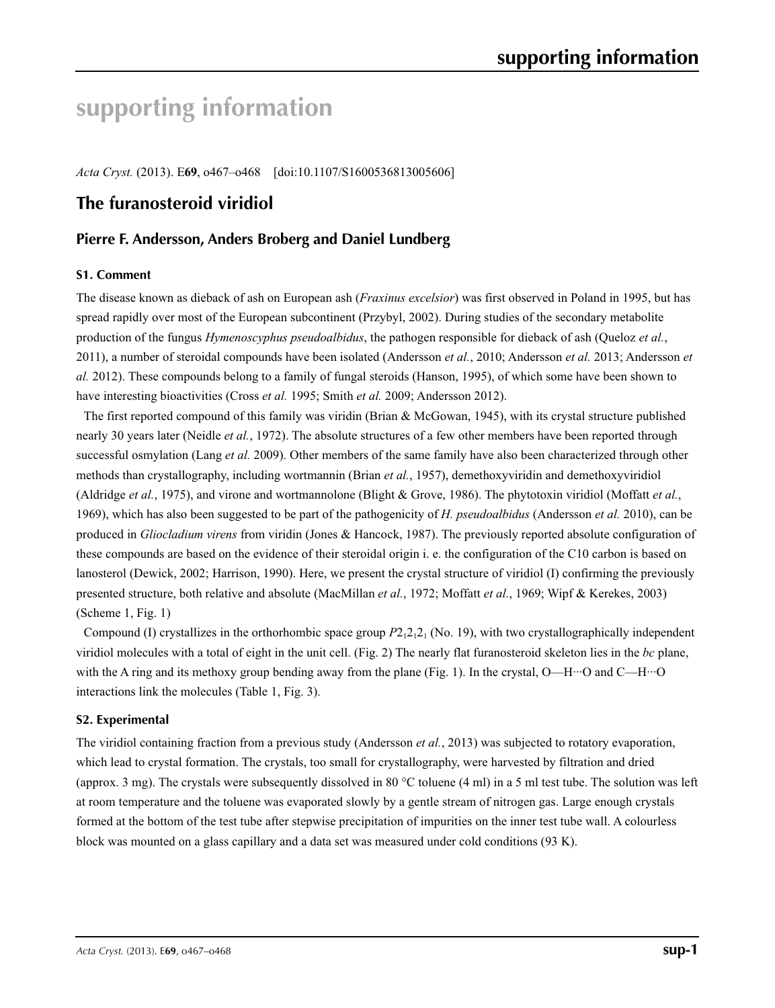# **supporting information**

*Acta Cryst.* (2013). E**69**, o467–o468 [doi:10.1107/S1600536813005606]

## **The furanosteroid viridiol**

## **Pierre F. Andersson, Anders Broberg and Daniel Lundberg**

#### **S1. Comment**

The disease known as dieback of ash on European ash (*Fraxinus excelsior*) was first observed in Poland in 1995, but has spread rapidly over most of the European subcontinent (Przybyl, 2002). During studies of the secondary metabolite production of the fungus *Hymenoscyphus pseudoalbidus*, the pathogen responsible for dieback of ash (Queloz *et al.*, 2011), a number of steroidal compounds have been isolated (Andersson *et al.*, 2010; Andersson *et al.* 2013; Andersson *et al.* 2012). These compounds belong to a family of fungal steroids (Hanson, 1995), of which some have been shown to have interesting bioactivities (Cross *et al.* 1995; Smith *et al.* 2009; Andersson 2012).

The first reported compound of this family was viridin (Brian & McGowan, 1945), with its crystal structure published nearly 30 years later (Neidle *et al.*, 1972). The absolute structures of a few other members have been reported through successful osmylation (Lang *et al.* 2009). Other members of the same family have also been characterized through other methods than crystallography, including wortmannin (Brian *et al.*, 1957), demethoxyviridin and demethoxyviridiol (Aldridge *et al.*, 1975), and virone and wortmannolone (Blight & Grove, 1986). The phytotoxin viridiol (Moffatt *et al.*, 1969), which has also been suggested to be part of the pathogenicity of *H. pseudoalbidus* (Andersson *et al.* 2010), can be produced in *Gliocladium virens* from viridin (Jones & Hancock, 1987). The previously reported absolute configuration of these compounds are based on the evidence of their steroidal origin i. e. the configuration of the C10 carbon is based on lanosterol (Dewick, 2002; Harrison, 1990). Here, we present the crystal structure of viridiol (I) confirming the previously presented structure, both relative and absolute (MacMillan *et al.*, 1972; Moffatt *et al.*, 1969; Wipf & Kerekes, 2003) (Scheme 1, Fig. 1)

Compound (I) crystallizes in the orthorhombic space group  $P2_12_12_1$  (No. 19), with two crystallographically independent viridiol molecules with a total of eight in the unit cell. (Fig. 2) The nearly flat furanosteroid skeleton lies in the *bc* plane, with the A ring and its methoxy group bending away from the plane (Fig. 1). In the crystal, O—H···O and C—H···O interactions link the molecules (Table 1, Fig. 3).

#### **S2. Experimental**

The viridiol containing fraction from a previous study (Andersson *et al.*, 2013) was subjected to rotatory evaporation, which lead to crystal formation. The crystals, too small for crystallography, were harvested by filtration and dried (approx. 3 mg). The crystals were subsequently dissolved in 80 °C toluene (4 ml) in a 5 ml test tube. The solution was left at room temperature and the toluene was evaporated slowly by a gentle stream of nitrogen gas. Large enough crystals formed at the bottom of the test tube after stepwise precipitation of impurities on the inner test tube wall. A colourless block was mounted on a glass capillary and a data set was measured under cold conditions (93 K).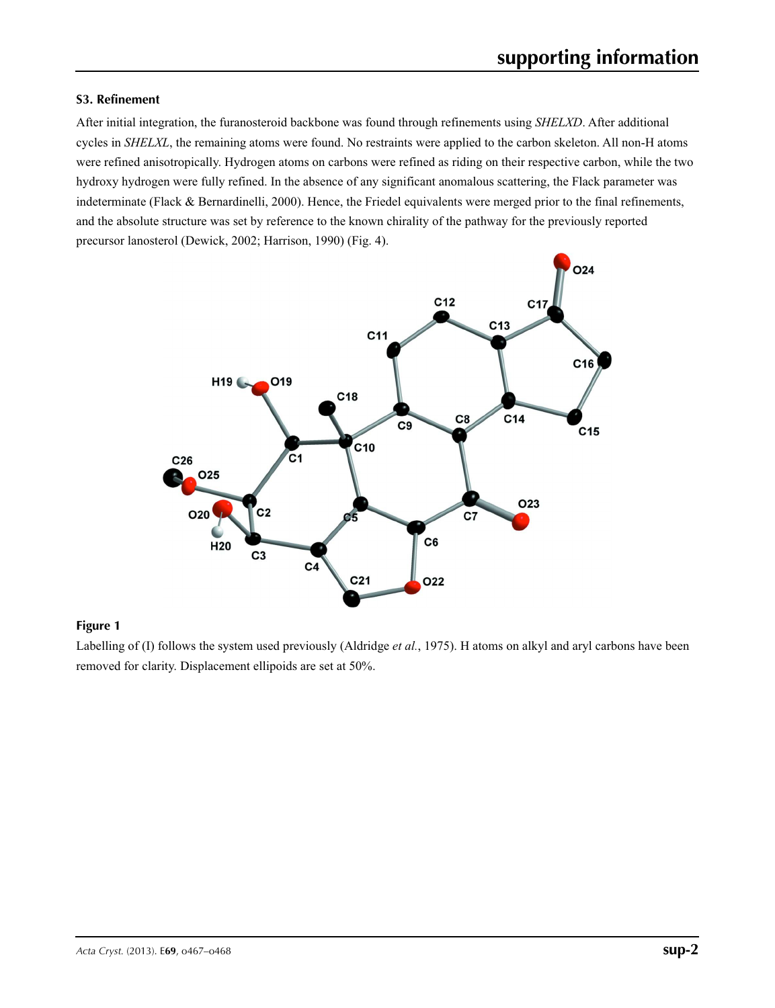#### **S3. Refinement**

After initial integration, the furanosteroid backbone was found through refinements using *SHELXD*. After additional cycles in *SHELXL*, the remaining atoms were found. No restraints were applied to the carbon skeleton. All non-H atoms were refined anisotropically. Hydrogen atoms on carbons were refined as riding on their respective carbon, while the two hydroxy hydrogen were fully refined. In the absence of any significant anomalous scattering, the Flack parameter was indeterminate (Flack & Bernardinelli, 2000). Hence, the Friedel equivalents were merged prior to the final refinements, and the absolute structure was set by reference to the known chirality of the pathway for the previously reported precursor lanosterol (Dewick, 2002; Harrison, 1990) (Fig. 4).



#### **Figure 1**

Labelling of (I) follows the system used previously (Aldridge *et al.*, 1975). H atoms on alkyl and aryl carbons have been removed for clarity. Displacement ellipoids are set at 50%.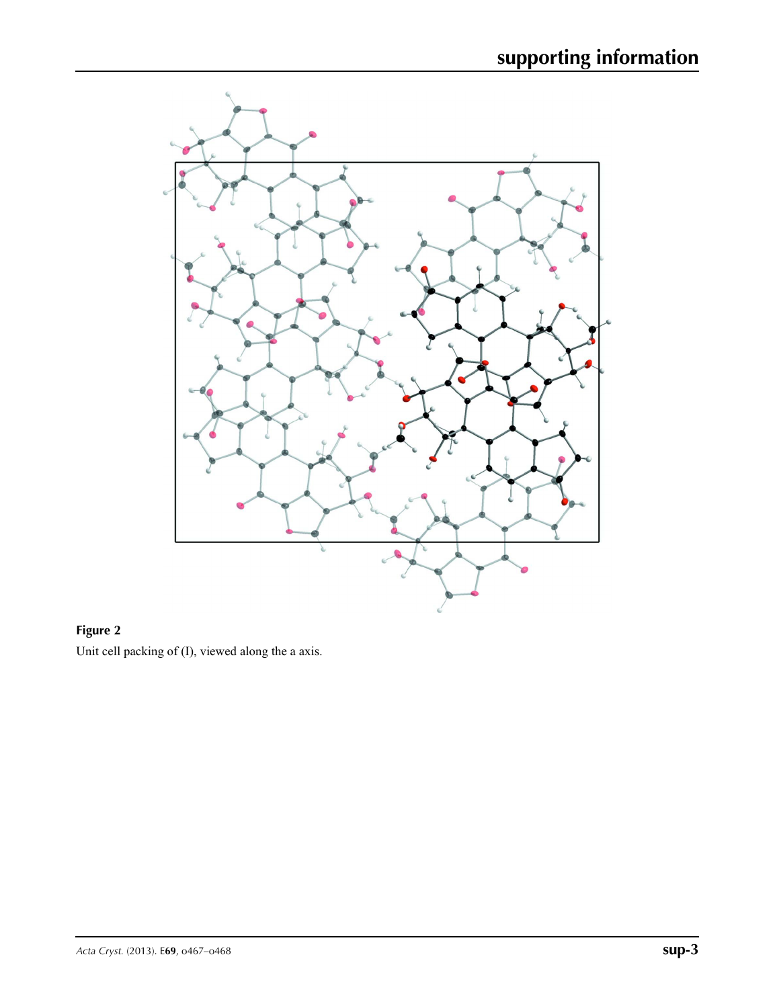

**Figure 2** Unit cell packing of (I), viewed along the a axis.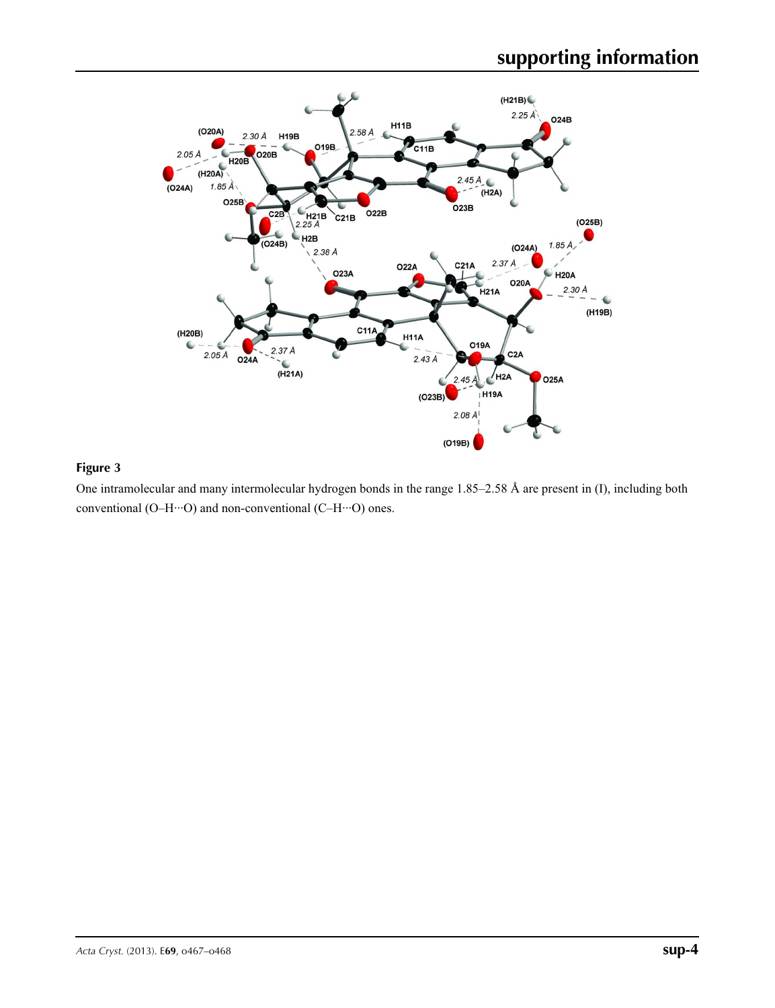

### **Figure 3**

One intramolecular and many intermolecular hydrogen bonds in the range 1.85–2.58 Å are present in (I), including both conventional (O–H···O) and non-conventional (C–H···O) ones.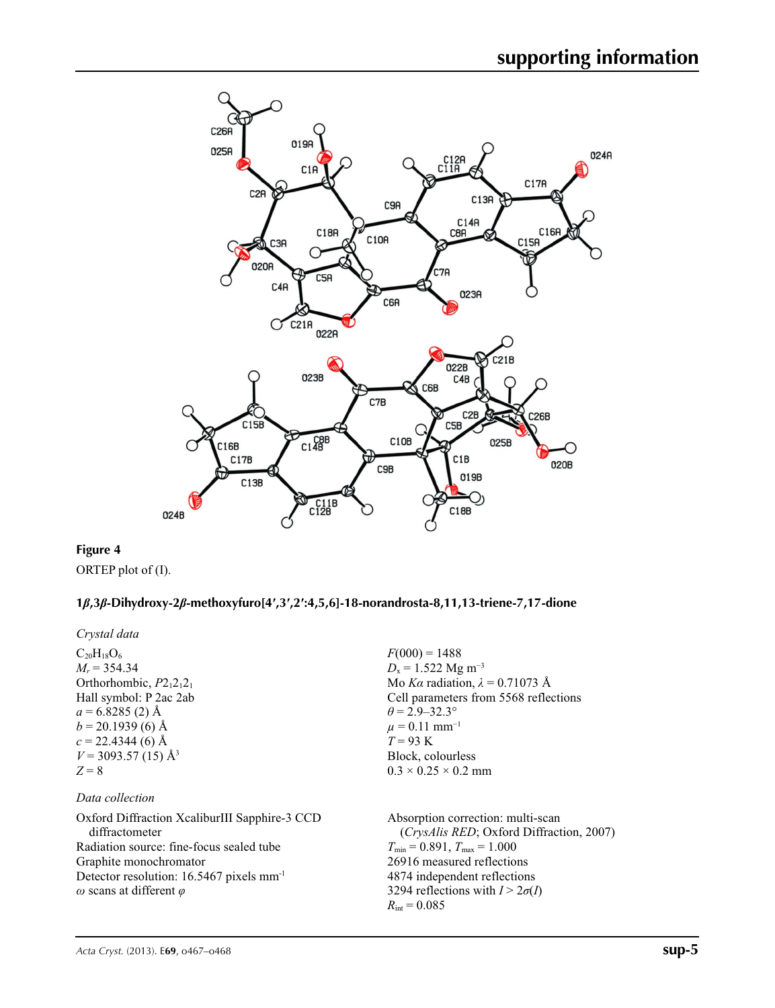

### **Figure 4**

ORTEP plot of (I).

#### **1***β***,3***β***-Dihydroxy-2***β***-methoxyfuro[4′,3′,2′:4,5,6]-18-norandrosta-8,11,13-triene-7,17-dione**

*Crystal data*

 $C_{20}H_{18}O_6$  $M_r = 354.34$ Orthorhombic,  $P2_12_12_1$ Hall symbol: P 2ac 2ab  $a = 6.8285(2)$  Å  $b = 20.1939(6)$  Å  $c = 22.4344(6)$  Å  $V = 3093.57(15)$  Å<sup>3</sup> *Z* = 8

#### *Data collection*

Oxford Diffraction XcaliburIII Sapphire-3 CCD diffractometer Radiation source: fine-focus sealed tube Graphite monochromator Detector resolution: 16.5467 pixels mm-1 *ω* scans at different *φ*

 $F(000) = 1488$  $D_x = 1.522$  Mg m<sup>-3</sup> Mo *Kα* radiation,  $\lambda = 0.71073$  Å Cell parameters from 5568 reflections  $\theta$  = 2.9–32.3°  $\mu$  = 0.11 mm<sup>-1</sup> *T* = 93 K Block, colourless  $0.3 \times 0.25 \times 0.2$  mm

Absorption correction: multi-scan (*CrysAlis RED*; Oxford Diffraction, 2007)  $T_{\text{min}} = 0.891, T_{\text{max}} = 1.000$ 26916 measured reflections 4874 independent reflections 3294 reflections with  $I > 2\sigma(I)$  $R_{\text{int}} = 0.085$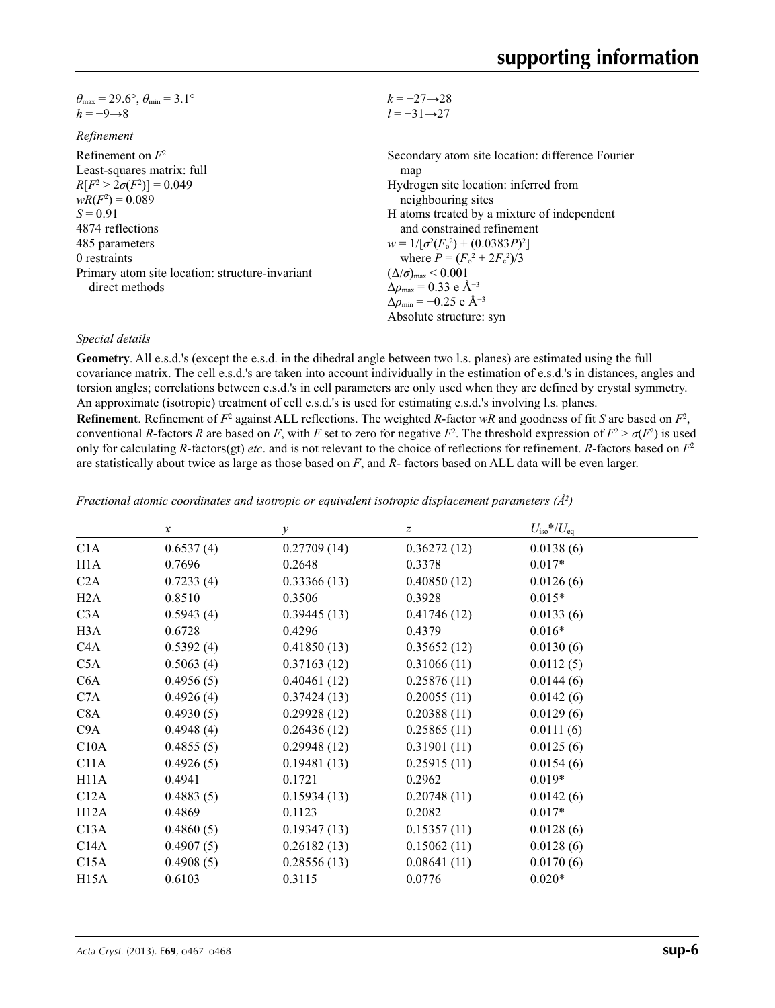| $\theta_{\text{max}} = 29.6^{\circ}, \theta_{\text{min}} = 3.1^{\circ}$ | $k = -27 \rightarrow 28$                           |
|-------------------------------------------------------------------------|----------------------------------------------------|
| $h = -9 \rightarrow 8$                                                  | $l = -31 \rightarrow 27$                           |
| Refinement                                                              |                                                    |
| Refinement on $F^2$                                                     | Secondary atom site location: difference Fourier   |
| Least-squares matrix: full                                              | map                                                |
| $R[F^2 > 2\sigma(F^2)] = 0.049$                                         | Hydrogen site location: inferred from              |
| $wR(F^2) = 0.089$                                                       | neighbouring sites                                 |
| $S = 0.91$                                                              | H atoms treated by a mixture of independent        |
| 4874 reflections                                                        | and constrained refinement                         |
| 485 parameters                                                          | $w = 1/[\sigma^2(F_0^2) + (0.0383P)^2]$            |
| 0 restraints                                                            | where $P = (F_0^2 + 2F_c^2)/3$                     |
| Primary atom site location: structure-invariant                         | $(\Delta/\sigma)_{\text{max}}$ < 0.001             |
| direct methods                                                          | $\Delta\rho_{\text{max}} = 0.33$ e Å <sup>-3</sup> |
|                                                                         | $\Delta\rho_{\rm min}$ = -0.25 e Å <sup>-3</sup>   |
|                                                                         | Absolute structure: syn                            |

#### *Special details*

**Geometry**. All e.s.d.'s (except the e.s.d. in the dihedral angle between two l.s. planes) are estimated using the full covariance matrix. The cell e.s.d.'s are taken into account individually in the estimation of e.s.d.'s in distances, angles and torsion angles; correlations between e.s.d.'s in cell parameters are only used when they are defined by crystal symmetry. An approximate (isotropic) treatment of cell e.s.d.'s is used for estimating e.s.d.'s involving l.s. planes.

**Refinement**. Refinement of  $F^2$  against ALL reflections. The weighted *R*-factor  $wR$  and goodness of fit *S* are based on  $F^2$ , conventional *R*-factors *R* are based on *F*, with *F* set to zero for negative  $F^2$ . The threshold expression of  $F^2 > \sigma(F^2)$  is used only for calculating *R*-factors(gt) *etc*. and is not relevant to the choice of reflections for refinement. *R*-factors based on *F*<sup>2</sup> are statistically about twice as large as those based on *F*, and *R*- factors based on ALL data will be even larger.

|                  | $\boldsymbol{x}$ | $\mathcal{Y}$ | Z           | $U_{\rm iso}*/U_{\rm eq}$ |
|------------------|------------------|---------------|-------------|---------------------------|
| C1A              | 0.6537(4)        | 0.27709(14)   | 0.36272(12) | 0.0138(6)                 |
| H <sub>1</sub> A | 0.7696           | 0.2648        | 0.3378      | $0.017*$                  |
| C2A              | 0.7233(4)        | 0.33366(13)   | 0.40850(12) | 0.0126(6)                 |
| H2A              | 0.8510           | 0.3506        | 0.3928      | $0.015*$                  |
| C3A              | 0.5943(4)        | 0.39445(13)   | 0.41746(12) | 0.0133(6)                 |
| H <sub>3</sub> A | 0.6728           | 0.4296        | 0.4379      | $0.016*$                  |
| C4A              | 0.5392(4)        | 0.41850(13)   | 0.35652(12) | 0.0130(6)                 |
| C5A              | 0.5063(4)        | 0.37163(12)   | 0.31066(11) | 0.0112(5)                 |
| C6A              | 0.4956(5)        | 0.40461(12)   | 0.25876(11) | 0.0144(6)                 |
| C7A              | 0.4926(4)        | 0.37424(13)   | 0.20055(11) | 0.0142(6)                 |
| C <sub>8</sub> A | 0.4930(5)        | 0.29928(12)   | 0.20388(11) | 0.0129(6)                 |
| C9A              | 0.4948(4)        | 0.26436(12)   | 0.25865(11) | 0.0111(6)                 |
| C10A             | 0.4855(5)        | 0.29948(12)   | 0.31901(11) | 0.0125(6)                 |
| C11A             | 0.4926(5)        | 0.19481(13)   | 0.25915(11) | 0.0154(6)                 |
| H11A             | 0.4941           | 0.1721        | 0.2962      | $0.019*$                  |
| C12A             | 0.4883(5)        | 0.15934(13)   | 0.20748(11) | 0.0142(6)                 |
| H12A             | 0.4869           | 0.1123        | 0.2082      | $0.017*$                  |
| C13A             | 0.4860(5)        | 0.19347(13)   | 0.15357(11) | 0.0128(6)                 |
| C14A             | 0.4907(5)        | 0.26182(13)   | 0.15062(11) | 0.0128(6)                 |
| C15A             | 0.4908(5)        | 0.28556(13)   | 0.08641(11) | 0.0170(6)                 |
| H15A             | 0.6103           | 0.3115        | 0.0776      | $0.020*$                  |

*Fractional atomic coordinates and isotropic or equivalent isotropic displacement parameters (Å<sup>2</sup>)*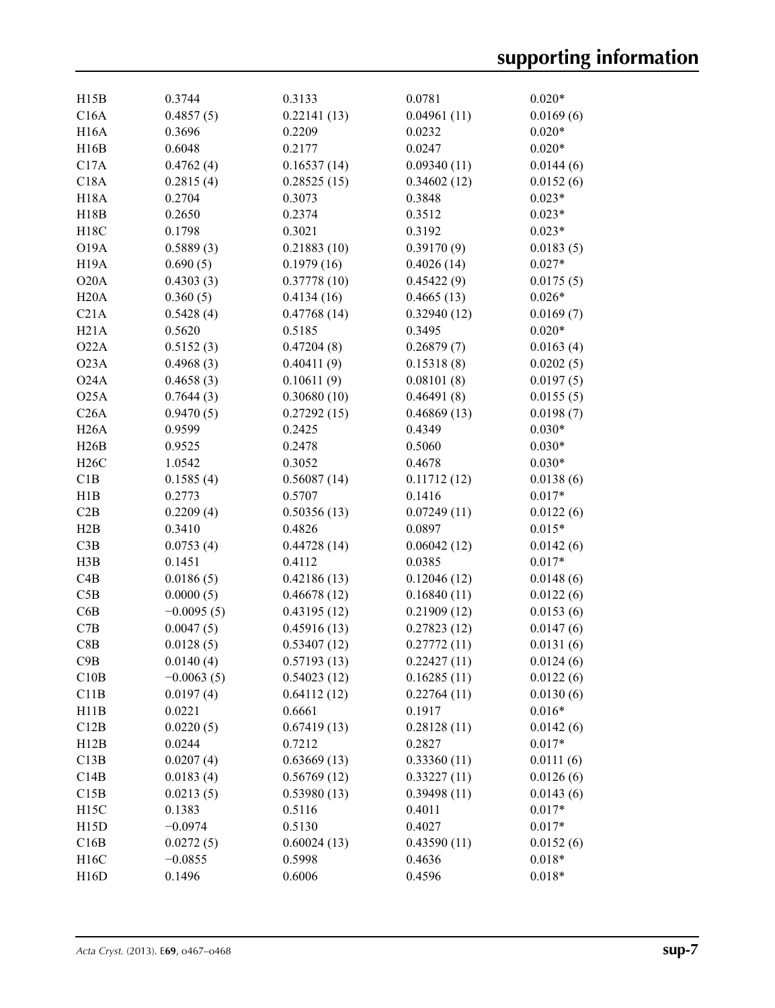| H15B              | 0.3744       | 0.3133      | 0.0781      | $0.020*$  |
|-------------------|--------------|-------------|-------------|-----------|
| C16A              | 0.4857(5)    | 0.22141(13) | 0.04961(11) | 0.0169(6) |
| <b>H16A</b>       | 0.3696       | 0.2209      | 0.0232      | $0.020*$  |
| H16B              | 0.6048       | 0.2177      | 0.0247      | $0.020*$  |
| C17A              | 0.4762(4)    | 0.16537(14) | 0.09340(11) | 0.0144(6) |
| C18A              | 0.2815(4)    | 0.28525(15) | 0.34602(12) | 0.0152(6) |
| <b>H18A</b>       | 0.2704       | 0.3073      | 0.3848      | $0.023*$  |
| H18B              | 0.2650       | 0.2374      | 0.3512      | $0.023*$  |
| H18C              | 0.1798       | 0.3021      | 0.3192      | $0.023*$  |
| <b>O19A</b>       | 0.5889(3)    | 0.21883(10) | 0.39170(9)  | 0.0183(5) |
| H <sub>19</sub> A | 0.690(5)     | 0.1979(16)  | 0.4026(14)  | $0.027*$  |
| O20A              | 0.4303(3)    | 0.37778(10) | 0.45422(9)  | 0.0175(5) |
| H20A              | 0.360(5)     | 0.4134(16)  | 0.4665(13)  | $0.026*$  |
| C21A              | 0.5428(4)    | 0.47768(14) | 0.32940(12) | 0.0169(7) |
| H21A              | 0.5620       | 0.5185      | 0.3495      | $0.020*$  |
| O22A              | 0.5152(3)    | 0.47204(8)  | 0.26879(7)  | 0.0163(4) |
| O23A              | 0.4968(3)    | 0.40411(9)  | 0.15318(8)  | 0.0202(5) |
| O <sub>24</sub> A |              |             | 0.08101(8)  |           |
|                   | 0.4658(3)    | 0.10611(9)  |             | 0.0197(5) |
| O25A              | 0.7644(3)    | 0.30680(10) | 0.46491(8)  | 0.0155(5) |
| C26A              | 0.9470(5)    | 0.27292(15) | 0.46869(13) | 0.0198(7) |
| H26A              | 0.9599       | 0.2425      | 0.4349      | $0.030*$  |
| H26B              | 0.9525       | 0.2478      | 0.5060      | $0.030*$  |
| H26C              | 1.0542       | 0.3052      | 0.4678      | $0.030*$  |
| C1B               | 0.1585(4)    | 0.56087(14) | 0.11712(12) | 0.0138(6) |
| H1B               | 0.2773       | 0.5707      | 0.1416      | $0.017*$  |
| C2B               | 0.2209(4)    | 0.50356(13) | 0.07249(11) | 0.0122(6) |
| H2B               | 0.3410       | 0.4826      | 0.0897      | $0.015*$  |
| C3B               | 0.0753(4)    | 0.44728(14) | 0.06042(12) | 0.0142(6) |
| H3B               | 0.1451       | 0.4112      | 0.0385      | $0.017*$  |
| C4B               | 0.0186(5)    | 0.42186(13) | 0.12046(12) | 0.0148(6) |
| C5B               | 0.0000(5)    | 0.46678(12) | 0.16840(11) | 0.0122(6) |
| C6B               | $-0.0095(5)$ | 0.43195(12) | 0.21909(12) | 0.0153(6) |
| C7B               | 0.0047(5)    | 0.45916(13) | 0.27823(12) | 0.0147(6) |
| C8B               | 0.0128(5)    | 0.53407(12) | 0.27772(11) | 0.0131(6) |
| C9B               | 0.0140(4)    | 0.57193(13) | 0.22427(11) | 0.0124(6) |
| C10B              | $-0.0063(5)$ | 0.54023(12) | 0.16285(11) | 0.0122(6) |
| C11B              | 0.0197(4)    | 0.64112(12) | 0.22764(11) | 0.0130(6) |
| H11B              | 0.0221       | 0.6661      | 0.1917      | $0.016*$  |
| C12B              | 0.0220(5)    | 0.67419(13) | 0.28128(11) | 0.0142(6) |
| H12B              | 0.0244       | 0.7212      | 0.2827      | $0.017*$  |
| C13B              | 0.0207(4)    | 0.63669(13) | 0.33360(11) | 0.0111(6) |
| C14B              | 0.0183(4)    | 0.56769(12) | 0.33227(11) | 0.0126(6) |
| C15B              | 0.0213(5)    | 0.53980(13) | 0.39498(11) | 0.0143(6) |
| H15C              | 0.1383       | 0.5116      | 0.4011      | $0.017*$  |
| H15D              | $-0.0974$    | 0.5130      | 0.4027      | $0.017*$  |
| C16B              | 0.0272(5)    | 0.60024(13) | 0.43590(11) | 0.0152(6) |
| H16C              | $-0.0855$    | 0.5998      | 0.4636      | $0.018*$  |
| H16D              | 0.1496       | 0.6006      | 0.4596      | $0.018*$  |
|                   |              |             |             |           |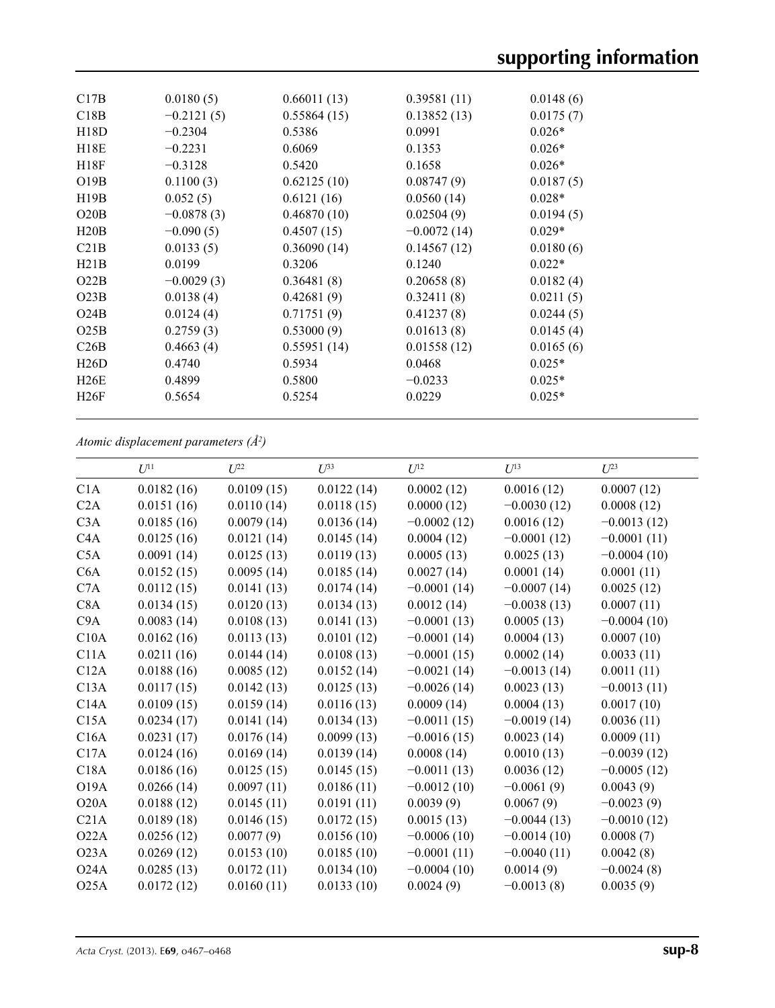| C17B | 0.0180(5)    | 0.66011(13) | 0.39581(11)   | 0.0148(6) |
|------|--------------|-------------|---------------|-----------|
| C18B | $-0.2121(5)$ | 0.55864(15) | 0.13852(13)   | 0.0175(7) |
| H18D | $-0.2304$    | 0.5386      | 0.0991        | $0.026*$  |
| H18E | $-0.2231$    | 0.6069      | 0.1353        | $0.026*$  |
| H18F | $-0.3128$    | 0.5420      | 0.1658        | $0.026*$  |
| O19B | 0.1100(3)    | 0.62125(10) | 0.08747(9)    | 0.0187(5) |
| H19B | 0.052(5)     | 0.6121(16)  | 0.0560(14)    | $0.028*$  |
| O20B | $-0.0878(3)$ | 0.46870(10) | 0.02504(9)    | 0.0194(5) |
| H20B | $-0.090(5)$  | 0.4507(15)  | $-0.0072(14)$ | $0.029*$  |
| C21B | 0.0133(5)    | 0.36090(14) | 0.14567(12)   | 0.0180(6) |
| H21B | 0.0199       | 0.3206      | 0.1240        | $0.022*$  |
| O22B | $-0.0029(3)$ | 0.36481(8)  | 0.20658(8)    | 0.0182(4) |
| O23B | 0.0138(4)    | 0.42681(9)  | 0.32411(8)    | 0.0211(5) |
| O24B | 0.0124(4)    | 0.71751(9)  | 0.41237(8)    | 0.0244(5) |
| O25B | 0.2759(3)    | 0.53000(9)  | 0.01613(8)    | 0.0145(4) |
| C26B | 0.4663(4)    | 0.55951(14) | 0.01558(12)   | 0.0165(6) |
| H26D | 0.4740       | 0.5934      | 0.0468        | $0.025*$  |
| H26E | 0.4899       | 0.5800      | $-0.0233$     | $0.025*$  |
| H26F | 0.5654       | 0.5254      | 0.0229        | $0.025*$  |
|      |              |             |               |           |

*Atomic displacement parameters (Å2 )*

| $U^{23}$      |
|---------------|
| 0.0007(12)    |
| 0.0008(12)    |
| $-0.0013(12)$ |
| $-0.0001(11)$ |
| $-0.0004(10)$ |
| 0.0001(11)    |
| 0.0025(12)    |
| 0.0007(11)    |
| $-0.0004(10)$ |
| 0.0007(10)    |
| 0.0033(11)    |
| 0.0011(11)    |
| $-0.0013(11)$ |
| 0.0017(10)    |
| 0.0036(11)    |
| 0.0009(11)    |
| $-0.0039(12)$ |
| $-0.0005(12)$ |
| 0.0043(9)     |
| $-0.0023(9)$  |
| $-0.0010(12)$ |
| 0.0008(7)     |
| 0.0042(8)     |
| $-0.0024(8)$  |
| 0.0035(9)     |
|               |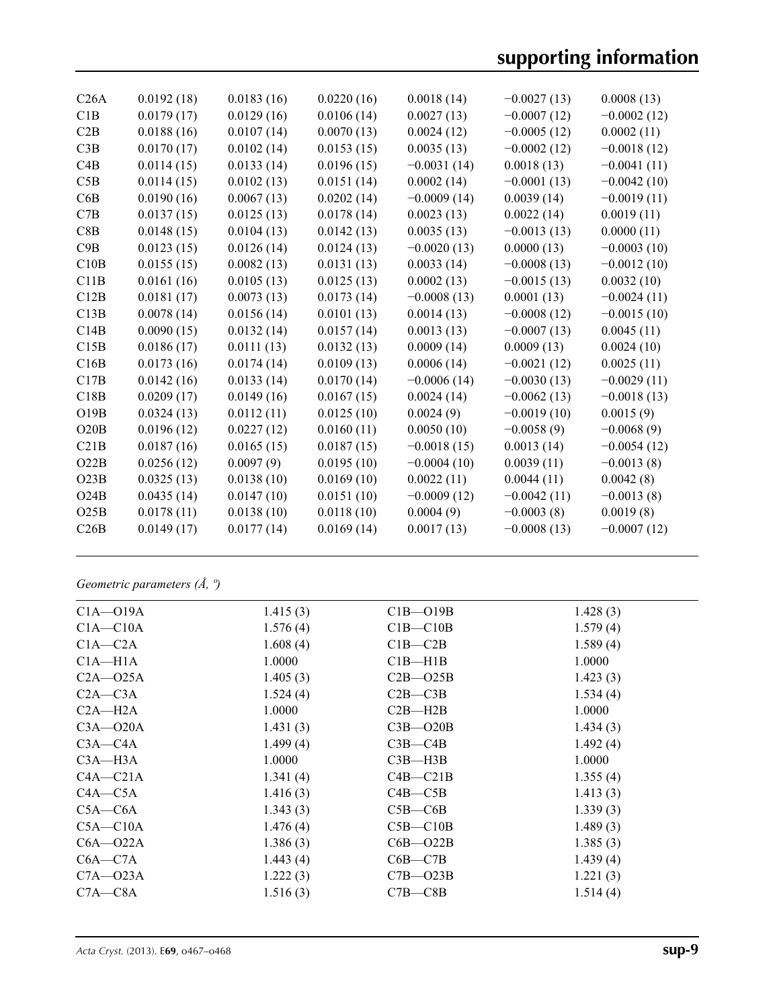# **supporting information**

| C26A | 0.0192(18) | 0.0183(16) | 0.0220(16) | 0.0018(14)    | $-0.0027(13)$ | 0.0008(13)    |
|------|------------|------------|------------|---------------|---------------|---------------|
| C1B  | 0.0179(17) | 0.0129(16) | 0.0106(14) | 0.0027(13)    | $-0.0007(12)$ | $-0.0002(12)$ |
| C2B  | 0.0188(16) | 0.0107(14) | 0.0070(13) | 0.0024(12)    | $-0.0005(12)$ | 0.0002(11)    |
| C3B  | 0.0170(17) | 0.0102(14) | 0.0153(15) | 0.0035(13)    | $-0.0002(12)$ | $-0.0018(12)$ |
| C4B  | 0.0114(15) | 0.0133(14) | 0.0196(15) | $-0.0031(14)$ | 0.0018(13)    | $-0.0041(11)$ |
| C5B  | 0.0114(15) | 0.0102(13) | 0.0151(14) | 0.0002(14)    | $-0.0001(13)$ | $-0.0042(10)$ |
| C6B  | 0.0190(16) | 0.0067(13) | 0.0202(14) | $-0.0009(14)$ | 0.0039(14)    | $-0.0019(11)$ |
| C7B  | 0.0137(15) | 0.0125(13) | 0.0178(14) | 0.0023(13)    | 0.0022(14)    | 0.0019(11)    |
| C8B  | 0.0148(15) | 0.0104(13) | 0.0142(13) | 0.0035(13)    | $-0.0013(13)$ | 0.0000(11)    |
| C9B  | 0.0123(15) | 0.0126(14) | 0.0124(13) | $-0.0020(13)$ | 0.0000(13)    | $-0.0003(10)$ |
| C10B | 0.0155(15) | 0.0082(13) | 0.0131(13) | 0.0033(14)    | $-0.0008(13)$ | $-0.0012(10)$ |
| C11B | 0.0161(16) | 0.0105(13) | 0.0125(13) | 0.0002(13)    | $-0.0015(13)$ | 0.0032(10)    |
| C12B | 0.0181(17) | 0.0073(13) | 0.0173(14) | $-0.0008(13)$ | 0.0001(13)    | $-0.0024(11)$ |
| C13B | 0.0078(14) | 0.0156(14) | 0.0101(13) | 0.0014(13)    | $-0.0008(12)$ | $-0.0015(10)$ |
| C14B | 0.0090(15) | 0.0132(14) | 0.0157(14) | 0.0013(13)    | $-0.0007(13)$ | 0.0045(11)    |
| C15B | 0.0186(17) | 0.0111(13) | 0.0132(13) | 0.0009(14)    | 0.0009(13)    | 0.0024(10)    |
| C16B | 0.0173(16) | 0.0174(14) | 0.0109(13) | 0.0006(14)    | $-0.0021(12)$ | 0.0025(11)    |
| C17B | 0.0142(16) | 0.0133(14) | 0.0170(14) | $-0.0006(14)$ | $-0.0030(13)$ | $-0.0029(11)$ |
| C18B | 0.0209(17) | 0.0149(16) | 0.0167(15) | 0.0024(14)    | $-0.0062(13)$ | $-0.0018(13)$ |
| O19B | 0.0324(13) | 0.0112(11) | 0.0125(10) | 0.0024(9)     | $-0.0019(10)$ | 0.0015(9)     |
| O20B | 0.0196(12) | 0.0227(12) | 0.0160(11) | 0.0050(10)    | $-0.0058(9)$  | $-0.0068(9)$  |
| C21B | 0.0187(16) | 0.0165(15) | 0.0187(15) | $-0.0018(15)$ | 0.0013(14)    | $-0.0054(12)$ |
| O22B | 0.0256(12) | 0.0097(9)  | 0.0195(10) | $-0.0004(10)$ | 0.0039(11)    | $-0.0013(8)$  |
| O23B | 0.0325(13) | 0.0138(10) | 0.0169(10) | 0.0022(11)    | 0.0044(11)    | 0.0042(8)     |
| O24B | 0.0435(14) | 0.0147(10) | 0.0151(10) | $-0.0009(12)$ | $-0.0042(11)$ | $-0.0013(8)$  |
| O25B | 0.0178(11) | 0.0138(10) | 0.0118(10) | 0.0004(9)     | $-0.0003(8)$  | 0.0019(8)     |
| C26B | 0.0149(17) | 0.0177(14) | 0.0169(14) | 0.0017(13)    | $-0.0008(13)$ | $-0.0007(12)$ |
|      |            |            |            |               |               |               |

## *Geometric parameters (Å, º)*

| $C1A - 019A$ | 1.415(3) | $C1B - O19B$  | 1.428(3) |
|--------------|----------|---------------|----------|
| $C1A - C10A$ | 1.576(4) | $C1B - C10B$  | 1.579(4) |
| $C1A - C2A$  | 1.608(4) | $C1B - C2B$   | 1.589(4) |
| $C1A - H1A$  | 1.0000   | $C1B - H1B$   | 1.0000   |
| $C2A - 025A$ | 1.405(3) | $C2B - 025B$  | 1.423(3) |
| $C2A - C3A$  | 1.524(4) | $C2B - C3B$   | 1.534(4) |
| $C2A - H2A$  | 1.0000   | $C2B - H2B$   | 1.0000   |
| $C3A - O20A$ | 1.431(3) | $C3B - O20B$  | 1.434(3) |
| $C3A - C4A$  | 1.499(4) | $C3B - C4B$   | 1.492(4) |
| $C3A - H3A$  | 1.0000   | $C3B$ —H $3B$ | 1.0000   |
| $C4A - C21A$ | 1.341(4) | $C4B - C21B$  | 1.355(4) |
| $C4A - C5A$  | 1.416(3) | $C4B - C5B$   | 1.413(3) |
| $C5A - C6A$  | 1.343(3) | $C5B - C6B$   | 1.339(3) |
| $C5A - C10A$ | 1.476(4) | $C5B - C10B$  | 1.489(3) |
| $C6A - 022A$ | 1.386(3) | $C6B - 022B$  | 1.385(3) |
| $C6A - C7A$  | 1.443(4) | $C6B - C7B$   | 1.439(4) |
| $C7A - 023A$ | 1.222(3) | $C7B - 023B$  | 1.221(3) |
| $C7A - C8A$  | 1.516(3) | $C7B$ — $C8B$ | 1.514(4) |
|              |          |               |          |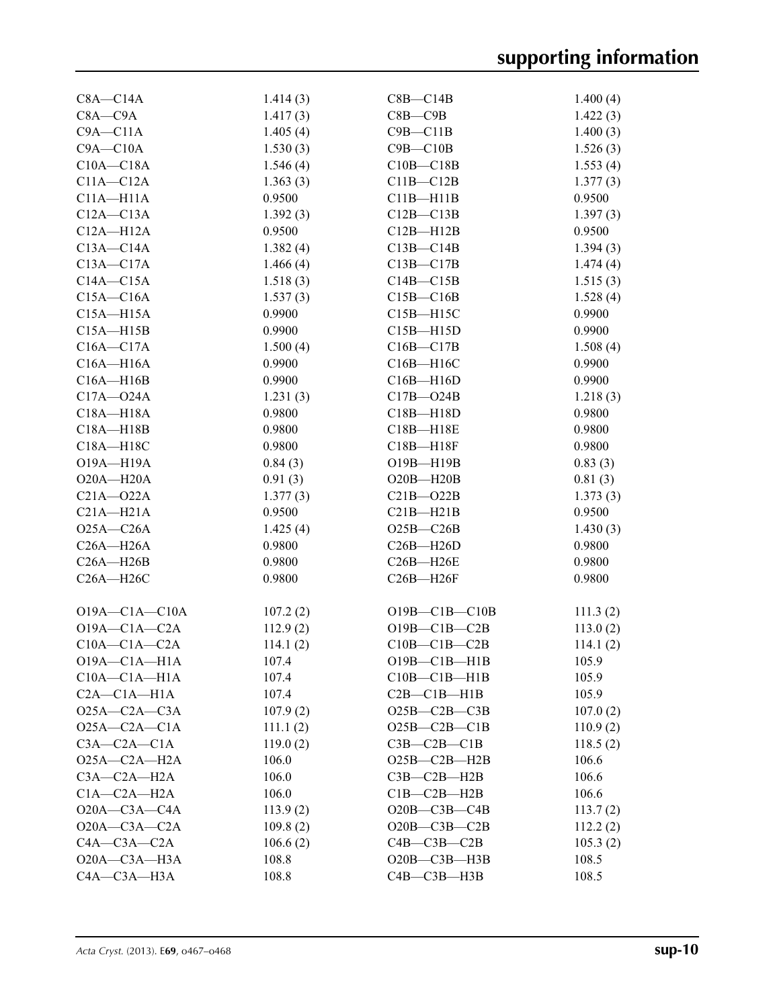| $C8A - C14A$        | 1.414(3) | $C8B - C14B$        | 1.400(4)           |
|---------------------|----------|---------------------|--------------------|
| $C8A - C9A$         | 1.417(3) | $C8B - C9B$         | 1.422(3)           |
| $C9A - C11A$        | 1.405(4) | $C9B - C11B$        | 1.400(3)           |
| $C9A - C10A$        | 1.530(3) | $C9B - C10B$        | 1.526(3)           |
| $C10A - C18A$       | 1.546(4) | $C10B - C18B$       | 1.553(4)           |
| $C11A - C12A$       | 1.363(3) | $C11B - C12B$       | 1.377(3)           |
| $C11A - H11A$       | 0.9500   | $C11B - H11B$       | 0.9500             |
| $C12A - C13A$       | 1.392(3) | $C12B - C13B$       | 1.397(3)           |
| $C12A - H12A$       | 0.9500   | $C12B - H12B$       | 0.9500             |
| $C13A - C14A$       | 1.382(4) | $C13B - C14B$       | 1.394(3)           |
| $C13A - C17A$       | 1.466(4) | $C13B - C17B$       | 1.474(4)           |
| $C14A - C15A$       | 1.518(3) | $C14B - C15B$       | 1.515(3)           |
| $C15A - C16A$       | 1.537(3) | $C15B - C16B$       | 1.528(4)           |
| $C15A - H15A$       | 0.9900   | $C15B - H15C$       | 0.9900             |
| $C15A - H15B$       | 0.9900   | $C15B - H15D$       | 0.9900             |
| $C16A - C17A$       | 1.500(4) | $C16B - C17B$       | 1.508(4)           |
| $C16A - H16A$       | 0.9900   | C16B-H16C           | 0.9900             |
| $C16A - H16B$       | 0.9900   | $C16B - H16D$       | 0.9900             |
| $C17A - 024A$       | 1.231(3) | $C17B - 024B$       | 1.218(3)           |
| C18A-H18A           | 0.9800   | C18B-H18D           | 0.9800             |
| $C18A - H18B$       | 0.9800   | C18B-H18E           | 0.9800             |
| C18A-H18C           | 0.9800   | $C18B - H18F$       | 0.9800             |
| O19A-H19A           | 0.84(3)  | O19B-H19B           | 0.83(3)            |
| $O20A - H20A$       | 0.91(3)  | $O20B - H20B$       | 0.81(3)            |
| $C21A - 022A$       | 1.377(3) | $C21B - 022B$       |                    |
| $C21A - H21A$       | 0.9500   |                     | 1.373(3)<br>0.9500 |
|                     |          | $C21B - H21B$       |                    |
| $O25A - C26A$       | 1.425(4) | $O25B - C26B$       | 1.430(3)           |
| $C26A - H26A$       | 0.9800   | $C26B - H26D$       | 0.9800             |
| $C26A - H26B$       | 0.9800   | $C26B - H26E$       | 0.9800             |
| $C26A - H26C$       | 0.9800   | $C26B - H26F$       | 0.9800             |
| $O19A - C1A - C10A$ | 107.2(2) | $O19B - C1B - C10B$ | 111.3(2)           |
| $O19A - C1A - C2A$  | 112.9(2) | $O19B - C1B - C2B$  | 113.0(2)           |
| $C10A - C1A - C2A$  | 114.1(2) | $C10B - C1B - C2B$  | 114.1(2)           |
| $O19A - C1A - H1A$  | 107.4    | $O19B - C1B - H1B$  | 105.9              |
| $C10A - C1A - H1A$  | 107.4    | $C10B - C1B - H1B$  | 105.9              |
| $C2A - C1A - H1A$   | 107.4    | $C2B - C1B - H1B$   | 105.9              |
| $O25A - C2A - C3A$  | 107.9(2) | $O25B - C2B - C3B$  | 107.0(2)           |
| $O25A - C2A - C1A$  | 111.1(2) | $O25B-C2B-C1B$      | 110.9(2)           |
| $C3A - C2A - C1A$   | 119.0(2) | $C3B - C2B - C1B$   | 118.5(2)           |
| $O25A - C2A - H2A$  | 106.0    | $O25B-C2B-H2B$      | 106.6              |
| $C3A - C2A - H2A$   | 106.0    | $C3B - C2B - H2B$   | 106.6              |
| $C1A - C2A - H2A$   | 106.0    | $C1B - C2B - H2B$   | 106.6              |
| $O20A - C3A - C4A$  | 113.9(2) | $O20B - C3B - C4B$  | 113.7(2)           |
| $O20A - C3A - C2A$  | 109.8(2) | $O20B - C3B - C2B$  | 112.2(2)           |
| $C4A - C3A - C2A$   | 106.6(2) | $C4B - C3B - C2B$   | 105.3(2)           |
| O20A-C3A-H3A        | 108.8    | $O20B - C3B - H3B$  | 108.5              |
| C4A-C3A-H3A         | 108.8    | $C4B - C3B - H3B$   | 108.5              |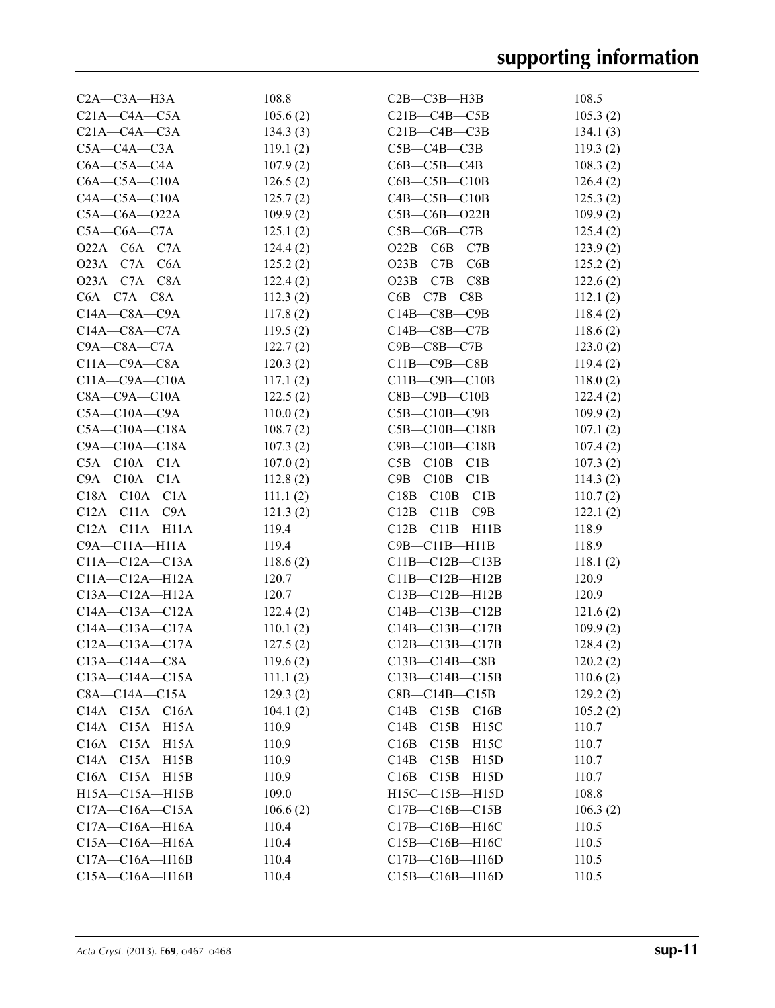| $C2A - C3A - H3A$    | 108.8    | $C2B - C3B - H3B$     | 108.5    |
|----------------------|----------|-----------------------|----------|
| $C21A - C4A - C5A$   | 105.6(2) | $C21B-C4B-C5B$        | 105.3(2) |
| $C21A - C4A - C3A$   | 134.3(3) | $C21B-C4B-C3B$        | 134.1(3) |
| $C5A - C4A - C3A$    | 119.1(2) | $C5B - C4B - C3B$     | 119.3(2) |
| $C6A - C5A - C4A$    | 107.9(2) | $C6B - C5B - C4B$     | 108.3(2) |
| $C6A - C5A - C10A$   | 126.5(2) | $C6B - C5B - C10B$    | 126.4(2) |
| $C4A - C5A - C10A$   | 125.7(2) | $C4B - C5B - C10B$    | 125.3(2) |
| $C5A - C6A - 022A$   | 109.9(2) | $C5B - C6B - O22B$    | 109.9(2) |
| $C5A-C6A-C7A$        | 125.1(2) | $C5B-C6B-C7B$         | 125.4(2) |
| $O22A - C6A - C7A$   | 124.4(2) | $O22B - COB - C7B$    | 123.9(2) |
| $O23A - C7A - C6A$   | 125.2(2) | $O23B-C7B-C6B$        | 125.2(2) |
| $O23A - C7A - C8A$   | 122.4(2) | $O23B-C7B-C8B$        | 122.6(2) |
| $C6A - C7A - C8A$    | 112.3(2) | $C6B - C7B - C8B$     | 112.1(2) |
| $C14A - C8A - C9A$   | 117.8(2) | $C14B - C8B - C9B$    | 118.4(2) |
| $C14A - C8A - C7A$   | 119.5(2) | $C14B - C8B - C7B$    | 118.6(2) |
| $C9A - C8A - C7A$    | 122.7(2) | $C9B$ — $C8B$ — $C7B$ | 123.0(2) |
| $C11A - C9A - C8A$   | 120.3(2) | $C11B - C9B - C8B$    | 119.4(2) |
| $C11A - C9A - C10A$  | 117.1(2) | $C11B - C9B - C10B$   | 118.0(2) |
| $C8A - C9A - C10A$   | 122.5(2) | $C8B - C9B - C10B$    | 122.4(2) |
| $C5A - C10A - C9A$   | 110.0(2) | $C5B - C10B - C9B$    | 109.9(2) |
| $C5A - C10A - C18A$  | 108.7(2) | $C5B - C10B - C18B$   | 107.1(2) |
| $C9A - C10A - C18A$  | 107.3(2) | $C9B - C10B - C18B$   | 107.4(2) |
| $C5A - C10A - C1A$   | 107.0(2) | $C5B - C10B - C1B$    | 107.3(2) |
| $C9A - C10A - C1A$   | 112.8(2) | $C9B - C10B - C1B$    | 114.3(2) |
| $C18A - C10A - C1A$  | 111.1(2) | $C18B - C10B - C1B$   | 110.7(2) |
| $C12A - C11A - C9A$  | 121.3(2) | $C12B - C11B - C9B$   | 122.1(2) |
| $C12A - C11A - H11A$ | 119.4    | $C12B - C11B - H11B$  | 118.9    |
| $C9A - C11A - H11A$  | 119.4    | $C9B - C11B - H11B$   | 118.9    |
| $C11A - C12A - C13A$ | 118.6(2) | $C11B-C12B-C13B$      | 118.1(2) |
| $C11A - C12A - H12A$ | 120.7    | $C11B-C12B-H12B$      | 120.9    |
| $C13A - C12A - H12A$ | 120.7    | $C13B - C12B - H12B$  | 120.9    |
| $C14A - C13A - C12A$ | 122.4(2) | $C14B - C13B - C12B$  | 121.6(2) |
| $C14A - C13A - C17A$ | 110.1(2) | $C14B - C13B - C17B$  | 109.9(2) |
| $C12A - C13A - C17A$ | 127.5(2) | $C12B - C13B - C17B$  | 128.4(2) |
| $C13A - C14A - C8A$  | 119.6(2) | $C13B - C14B - C8B$   | 120.2(2) |
| $C13A - C14A - C15A$ | 111.1(2) | $C13B - C14B - C15B$  | 110.6(2) |
| $C8A - C14A - C15A$  | 129.3(2) | $C8B - C14B - C15B$   | 129.2(2) |
| $C14A - C15A - C16A$ | 104.1(2) | $C14B - C15B - C16B$  | 105.2(2) |
| $C14A - C15A - H15A$ | 110.9    | C14B-C15B-H15C        | 110.7    |
| $C16A - C15A - H15A$ | 110.9    | $C16B - C15B - H15C$  | 110.7    |
| $C14A - C15A - H15B$ | 110.9    | $C14B - C15B - H15D$  | 110.7    |
| $C16A - C15A - H15B$ | 110.9    | C16B-C15B-H15D        | 110.7    |
| $H15A - C15A - H15B$ | 109.0    | $H15C-C15B-H15D$      | 108.8    |
| $C17A - C16A - C15A$ | 106.6(2) | $C17B - C16B - C15B$  | 106.3(2) |
| $C17A - C16A - H16A$ | 110.4    | C17B-C16B-H16C        | 110.5    |
| $C15A - C16A - H16A$ | 110.4    | $C15B - C16B - H16C$  | 110.5    |
| $C17A - C16A - H16B$ | 110.4    | $C17B - C16B - H16D$  | 110.5    |
| $C15A - C16A - H16B$ | 110.4    | $C15B - C16B - H16D$  | 110.5    |
|                      |          |                       |          |